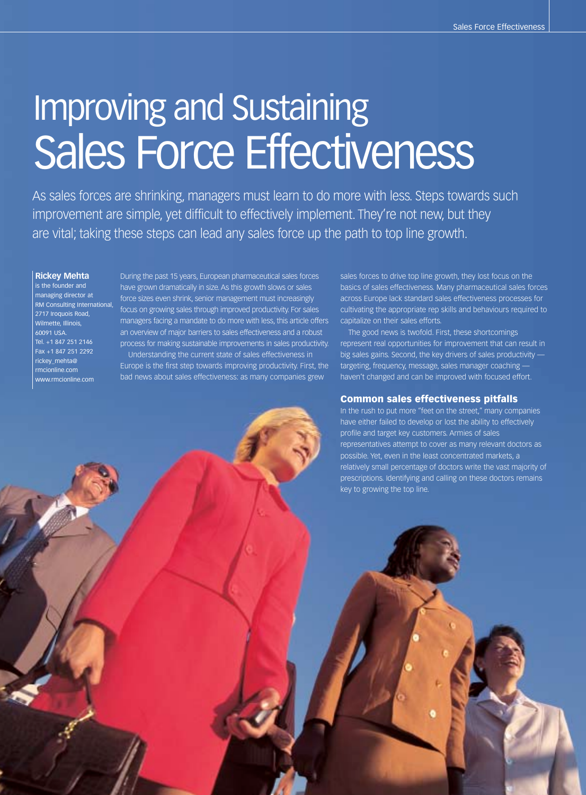# Improving and Sustaining Sales Force Effectiveness

As sales forces are shrinking, managers must learn to do more with less. Steps towards such improvement are simple, yet difficult to effectively implement. They're not new, but they are vital; taking these steps can lead any sales force up the path to top line growth.

# **Rickey Mehta**

is the founder and managing director at RM Consulting International, 2717 Iroquois Road, Wilmette, Illinois, 60091 USA. Tel. +1 847 251 2146 Fax +1 847 251 2292 rickey\_mehta@ rmcionline.com www.rmcionline.com

During the past 15 years, European pharmaceutical sales forces have grown dramatically in size. As this growth slows or sales force sizes even shrink, senior management must increasingly focus on growing sales through improved productivity. For sales managers facing a mandate to do more with less, this article offers an overview of major barriers to sales effectiveness and a robust process for making sustainable improvements in sales productivity. Understanding the current state of sales effectiveness in

Europe is the first step towards improving productivity. First, the bad news about sales effectiveness: as many companies grew

sales forces to drive top line growth, they lost focus on the basics of sales effectiveness. Many pharmaceutical sales forces across Europe lack standard sales effectiveness processes for cultivating the appropriate rep skills and behaviours required to capitalize on their sales efforts.

The good news is twofold. First, these shortcomings represent real opportunities for improvement that can result in big sales gains. Second, the key drivers of sales productivity targeting, frequency, message, sales manager coaching haven't changed and can be improved with focused effort.

#### **Common sales effectiveness pitfalls**

In the rush to put more "feet on the street," many companies have either failed to develop or lost the ability to effectively profile and target key customers. Armies of sales representatives attempt to cover as many relevant doctors as possible. Yet, even in the least concentrated markets, a relatively small percentage of doctors write the vast majority of prescriptions. Identifying and calling on these doctors remains key to growing the top line.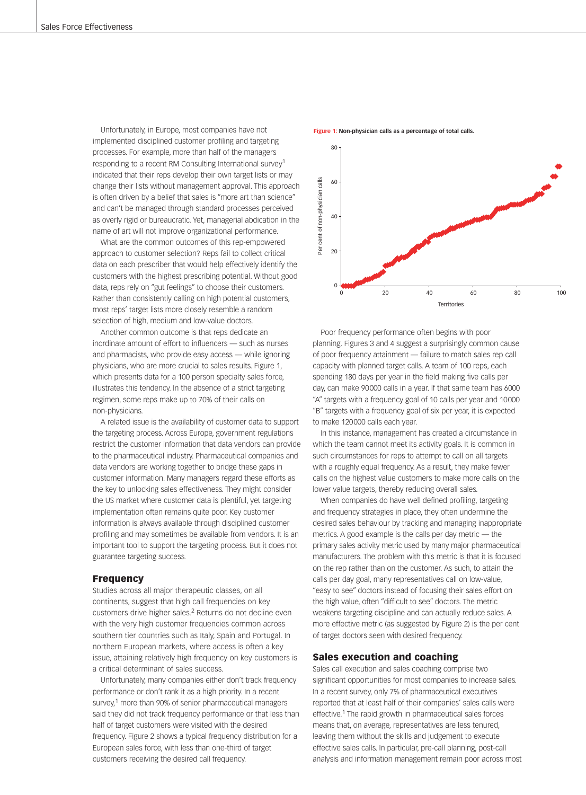Unfortunately, in Europe, most companies have not implemented disciplined customer profiling and targeting processes. For example, more than half of the managers responding to a recent RM Consulting International survey<sup>1</sup> indicated that their reps develop their own target lists or may change their lists without management approval. This approach is often driven by a belief that sales is "more art than science" and can't be managed through standard processes perceived as overly rigid or bureaucratic. Yet, managerial abdication in the name of art will not improve organizational performance.

What are the common outcomes of this rep-empowered approach to customer selection? Reps fail to collect critical data on each prescriber that would help effectively identify the customers with the highest prescribing potential. Without good data, reps rely on "gut feelings" to choose their customers. Rather than consistently calling on high potential customers, most reps' target lists more closely resemble a random selection of high, medium and low-value doctors.

Another common outcome is that reps dedicate an inordinate amount of effort to influencers — such as nurses and pharmacists, who provide easy access — while ignoring physicians, who are more crucial to sales results. Figure 1, which presents data for a 100 person specialty sales force, illustrates this tendency. In the absence of a strict targeting regimen, some reps make up to 70% of their calls on non-physicians.

A related issue is the availability of customer data to support the targeting process. Across Europe, government regulations restrict the customer information that data vendors can provide to the pharmaceutical industry. Pharmaceutical companies and data vendors are working together to bridge these gaps in customer information. Many managers regard these efforts as the key to unlocking sales effectiveness. They might consider the US market where customer data is plentiful, yet targeting implementation often remains quite poor. Key customer information is always available through disciplined customer profiling and may sometimes be available from vendors. It is an important tool to support the targeting process. But it does not guarantee targeting success.

#### **Frequency**

Studies across all major therapeutic classes, on all continents, suggest that high call frequencies on key customers drive higher sales.<sup>2</sup> Returns do not decline even with the very high customer frequencies common across southern tier countries such as Italy, Spain and Portugal. In northern European markets, where access is often a key issue, attaining relatively high frequency on key customers is a critical determinant of sales success.

Unfortunately, many companies either don't track frequency performance or don't rank it as a high priority. In a recent survey.<sup>1</sup> more than 90% of senior pharmaceutical managers said they did not track frequency performance or that less than half of target customers were visited with the desired frequency. Figure 2 shows a typical frequency distribution for a European sales force, with less than one-third of target customers receiving the desired call frequency.

**Figure 1: Non-physician calls as a percentage of total calls.**



Poor frequency performance often begins with poor planning. Figures 3 and 4 suggest a surprisingly common cause of poor frequency attainment — failure to match sales rep call capacity with planned target calls. A team of 100 reps, each spending 180 days per year in the field making five calls per day, can make 90000 calls in a year. If that same team has 6000 "A" targets with a frequency goal of 10 calls per year and 10000 "B" targets with a frequency goal of six per year, it is expected to make 120000 calls each year.

In this instance, management has created a circumstance in which the team cannot meet its activity goals. It is common in such circumstances for reps to attempt to call on all targets with a roughly equal frequency. As a result, they make fewer calls on the highest value customers to make more calls on the lower value targets, thereby reducing overall sales.

When companies do have well defined profiling, targeting and frequency strategies in place, they often undermine the desired sales behaviour by tracking and managing inappropriate metrics. A good example is the calls per day metric — the primary sales activity metric used by many major pharmaceutical manufacturers. The problem with this metric is that it is focused on the rep rather than on the customer. As such, to attain the calls per day goal, many representatives call on low-value, "easy to see" doctors instead of focusing their sales effort on the high value, often "difficult to see" doctors. The metric weakens targeting discipline and can actually reduce sales. A more effective metric (as suggested by Figure 2) is the per cent of target doctors seen with desired frequency.

## **Sales execution and coaching**

Sales call execution and sales coaching comprise two significant opportunities for most companies to increase sales. In a recent survey, only 7% of pharmaceutical executives reported that at least half of their companies' sales calls were effective.<sup>1</sup> The rapid growth in pharmaceutical sales forces means that, on average, representatives are less tenured, leaving them without the skills and judgement to execute effective sales calls. In particular, pre-call planning, post-call analysis and information management remain poor across most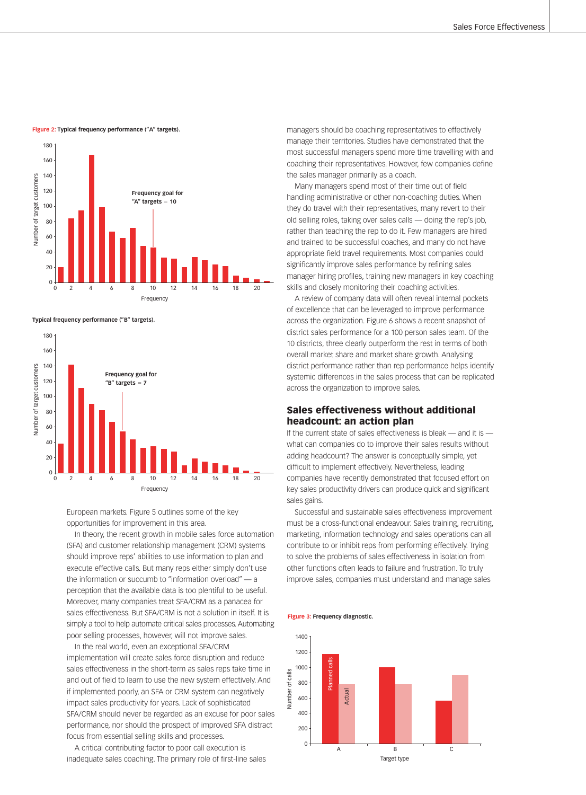**Figure 2: Typical frequency performance ("A" targets).**



**Typical frequency performance ("B" targets).**



European markets. Figure 5 outlines some of the key opportunities for improvement in this area.

In theory, the recent growth in mobile sales force automation (SFA) and customer relationship management (CRM) systems should improve reps' abilities to use information to plan and execute effective calls. But many reps either simply don't use the information or succumb to "information overload" — a perception that the available data is too plentiful to be useful. Moreover, many companies treat SFA/CRM as a panacea for sales effectiveness. But SFA/CRM is not a solution in itself. It is simply a tool to help automate critical sales processes. Automating poor selling processes, however, will not improve sales.

In the real world, even an exceptional SFA/CRM implementation will create sales force disruption and reduce sales effectiveness in the short-term as sales reps take time in and out of field to learn to use the new system effectively. And if implemented poorly, an SFA or CRM system can negatively impact sales productivity for years. Lack of sophisticated SFA/CRM should never be regarded as an excuse for poor sales performance, nor should the prospect of improved SFA distract focus from essential selling skills and processes.

A critical contributing factor to poor call execution is inadequate sales coaching. The primary role of first-line sales

managers should be coaching representatives to effectively manage their territories. Studies have demonstrated that the most successful managers spend more time travelling with and coaching their representatives. However, few companies define the sales manager primarily as a coach.

Many managers spend most of their time out of field handling administrative or other non-coaching duties. When they do travel with their representatives, many revert to their old selling roles, taking over sales calls — doing the rep's job, rather than teaching the rep to do it. Few managers are hired and trained to be successful coaches, and many do not have appropriate field travel requirements. Most companies could significantly improve sales performance by refining sales manager hiring profiles, training new managers in key coaching skills and closely monitoring their coaching activities.

A review of company data will often reveal internal pockets of excellence that can be leveraged to improve performance across the organization. Figure 6 shows a recent snapshot of district sales performance for a 100 person sales team. Of the 10 districts, three clearly outperform the rest in terms of both overall market share and market share growth. Analysing district performance rather than rep performance helps identify systemic differences in the sales process that can be replicated across the organization to improve sales.

# **Sales effectiveness without additional headcount: an action plan**

If the current state of sales effectiveness is bleak — and it is what can companies do to improve their sales results without adding headcount? The answer is conceptually simple, yet difficult to implement effectively. Nevertheless, leading companies have recently demonstrated that focused effort on key sales productivity drivers can produce quick and significant sales gains.

Successful and sustainable sales effectiveness improvement must be a cross-functional endeavour. Sales training, recruiting, marketing, information technology and sales operations can all contribute to or inhibit reps from performing effectively. Trying to solve the problems of sales effectiveness in isolation from other functions often leads to failure and frustration. To truly improve sales, companies must understand and manage sales